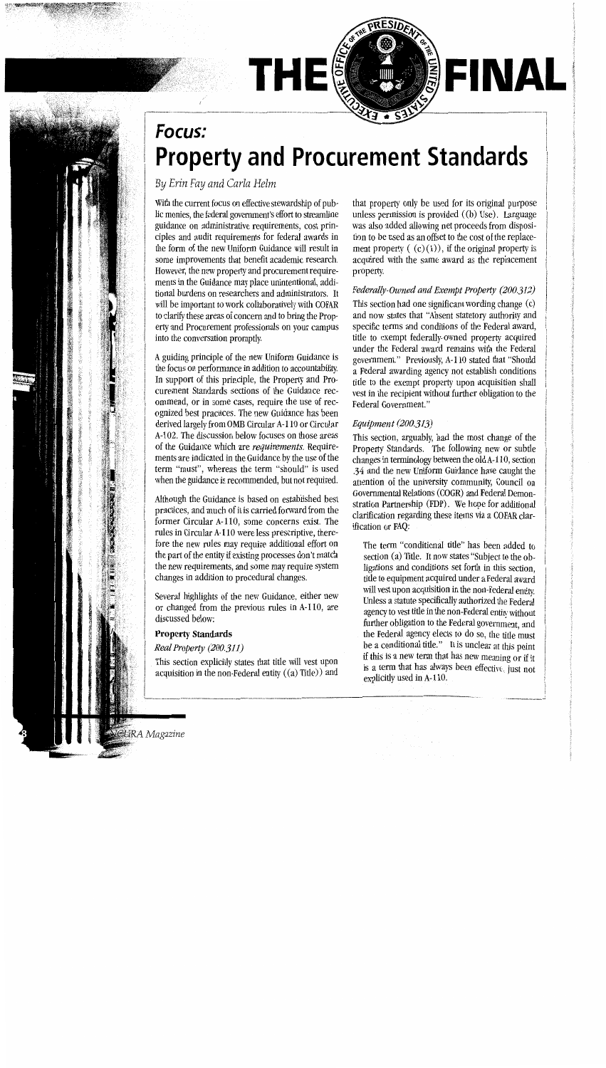### <sup>1</sup>**Property and Procurement Standards**

*By Erin Fay and Carla Helm* 

 $I^{'}$ 

With the current focus on effective stewardship of public monies, the federal government's effort to streamline guidance on administrative requirements, cost principles and audit requirements for federal awards in the form of the new Uniform Guidance will result in some improvements that benefit academic research. However, the new property and procurement requirements in the Guidance may place unintentional, additional burdens on researchers and administrators. It will be important to work collaboratively with COFAR to clarify these areas of concern and to bring the Property and Procurement professionals on your campus into the conversation promptly.

A guiding principle of the new Uniform Guidance is the focus on performance in addition to accountability. In support of this principle, the Property and Procurement Standards sections of the Guidance recommend, or in some cases, require the use of recognized best practices. The new Guidance has been derived largely from OMB Circular A-110 or Circular A-102. The discussion below focuses on those areas of the Guidance which are *requirements.* Requirements are indicated in the Guidance by the use of the term "must", whereas the term "should" is used when the guidance is recommended, but not required.

Although the Guidance is based on established best practices, and much of it is carried forward from the former Circular A-110, some concerns exist. The rules in Circular A-110 were less prescriptive, therefore the new rules may require additional effort on the part of the entity if existing processes don't match the new requirements, and some may require system changes in addition to procedural changes.

Several highlights of the new Guidance, either new or changed from the previous rules in A-110, are discussed below:

#### Property Standards

**IRA** Magazine

#### *Real Property (200.311)*

This section explicitly states that title will vest upon acquisition in the non-Federal entity ((a) Title)) and

that property only be used for its original purpose unless permission is provided ( (b) Use). Language was also added allowing net proceeds from disposition to be used as an offset to the cost of the replacement property  $( (c)(1))$ , if the original property is acquired with the same award as the replacement property.

**THE FINAL** 

#### *Federally-Owned and Exempt Property (200312)*

This section had one significant wording change (c) and now states that "Absent statutory authority and specific terms and conditions of the Federal award, title to exempt federally-owned property acquired under the Federal award remains with the Federal government." Previously, A-110 stated that "Should a Federal awarding agency not establish conditions title to the exempt property upon acquisition shall vest in the recipient without further obligation to the Federal Government."

### Equipment (200.313)

This section, arguably, had the most change of the Property Standards. The following new or subtle changes in terminology between the oldA-110, section .34 and the new Uniform Guidance have caught the attention of the university community, Council on Governmental Relations (COGR) and Federal Demonstration Partnership (FDP). We hope for additional clarification regarding these items via a COFAR clarification or FAQ:

The term "conditional title" has been added to section (a) Title. It now states "Subject to the obligations and conditions set forth in this section, title to equipment acquired under a Federal award will vest upon acquisition in the non-Federal entity. Unless a statute specifically authorized the Federal agency to vest title in the non-Federal entity without further obligation to the Federal government, and the Federal agency elects to do so, the title must be a conditional title." It is unclear at this point if this is a new term that has new meaning or if it is a term that has always been effective, just not explicitly used in A-110.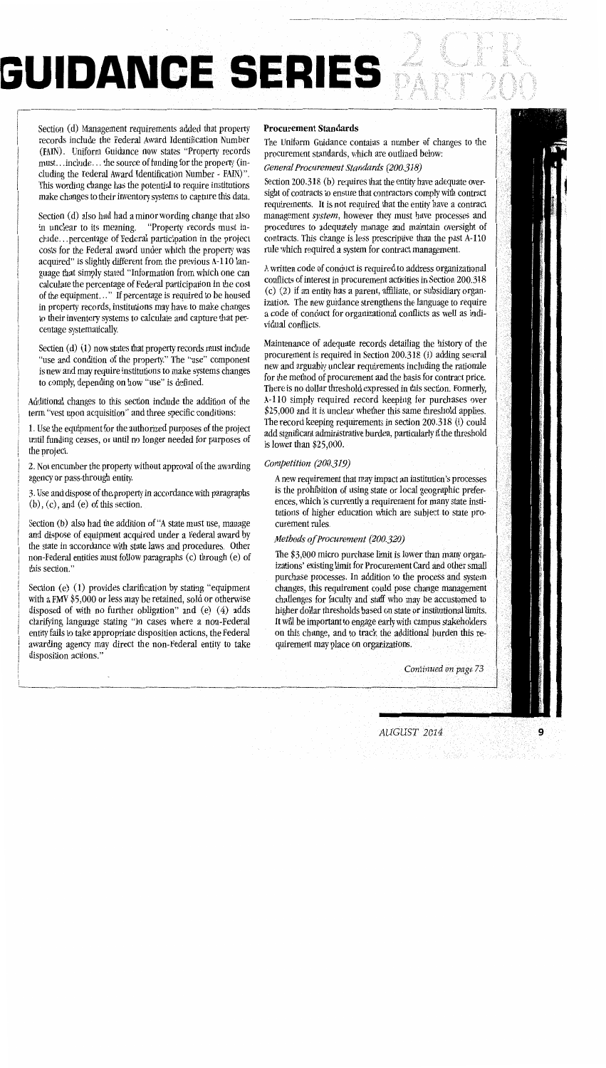## **GUIDANCE SERIES**

Section (d) Management requirements added that property records include the Federal Award Identification Number (FAIN). Uniform Guidance now states "Property records must. .. include ... the source of funding for the property (including the Federal Award Identification Number - FAIN)". This wording change has the potential to require institutions make changes to their inventory systems to capture this data.

Section (d) also had had a minor wording change that also in unclear to its meaning. "Property records must include ... percentage of Federal participation in the project costs for the Federal award under which the property was acquired" is slightly different from the previous A-110 language that simply stated "Information from which one can calculate the percentage of Federal participation in the cost of the equipment. .. " If percentage is required to be housed in property records, institutions may have to make changes to their inventory systems to calculate and capture that percentage systematically.

Section (d) (1) now states that property records must include "use and condition of the property." The "use" component is new and may require institutions to make systems changes to comply, depending on how "use" is defined.

Additional changes to this section include the addition of the term "vest upon acquisition" and three specific conditions:

1. Use the equipment for the authorized purposes of the project until funding ceases, or until no longer needed for purposes of the project.

2. Not encumber the property without approval of the awarding agency or pass-through entity.

3. Use and dispose of the property in accordance with paragraphs (b), (c), and (e) of this section.

Section (b) also had the addition of "A state must use, manage and dispose of equipment acquired under a Federal award by the state in accordance with state laws and procedures. Other non-Federal entities must follow paragraphs (c) through (e) of this section."

Section (e) (1) provides clarification by stating "equipment with a FMV \$5,000 or less may be retained, sold or otherwise disposed of with no further obligation" and (e) (4) adds clarifying language stating "In cases where a non-Federal entity fails to take appropriate disposition actions, the Federal awarding agency may direct the non-Federal entity to take disposition actions."

#### **Procurement Standards**

The Uniform Guidance contains a number of changes to the procurement standards, which are outlined below: *General Procurement Standards (200.318)* 

Section 200.318 (b) requires that the entity have adequate oversight of contracts to ensure that contractors comply with contract requirements. It is not required that the entity have a contract management *system,* however they must have processes and procedures to adequately manage and maintain oversight of contracts. This change is less prescriptive than the past A-110 rule which required a system for contract management.

A written code of conduct is required to address organizational conflicts of interest in procurement activities in Section 200.318 (c) (2) if an entity has a parent, affiliate, or subsidiary organization. The new guidance strengthens the language to require a code of conduct for organizational conflicts as well as individual conflicts.

Maintenance of adequate records detailing the history of the procurement is required in Section 200.318 (i) adding several new and arguably unclear requirements including the rationale for the method of procurement and the basis for contract price. There is no dollar threshold expressed in this section. Formerly, A-110 simply required record keeping for purchases over \$25,000 and it is unclear whether this same threshold applies. The record keeping requirements in section 200.318 (i) could add significant administrative burden, particularly if the threshold is lower than \$25,000.

#### *Competition (200.319)*

A new requirement that may impact an institution's processes is the prohibition of using state or local geographic preferences, which is currently a requirement for many state institutions of higher education which are subject to state procurement rules.

#### *Methods of Procurement (200.320)*

The \$3,000 micro purchase limit is lower than many organizations' existing limit for Procurement Card and other small purchase processes. In addition to the process and system changes, this requirement could pose change management challenges for faculty and staff who may be accustomed to higher dollar thresholds based on state or institutional limits. It will be important to engage early with campus stakeholders on this change, and to track the additional burden this requirement may place on organizations.

*Continued on page* 73

그 방법 없이 좋

*AUGUST 2014* **9**